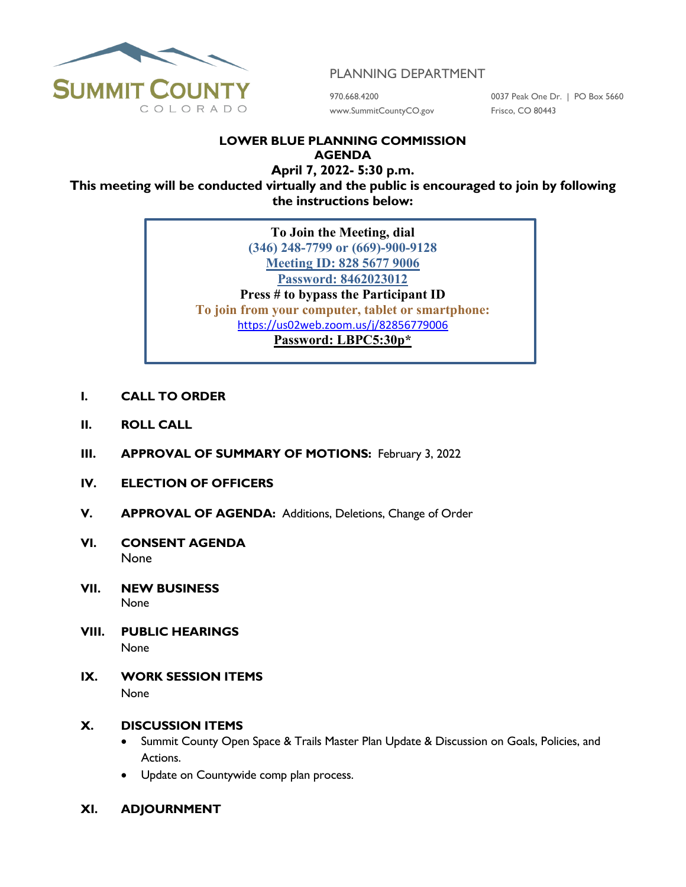

PLANNING DEPARTMENT

[www.SummitCountyCO.gov](http://www.summitcountyco.gov/) Frisco, CO 80443

970.668.4200 0037 Peak One Dr. | PO Box 5660

## **LOWER BLUE PLANNING COMMISSION AGENDA**

**April 7, 2022- 5:30 p.m.**

**This meeting will be conducted virtually and the public is encouraged to join by following the instructions below:**

> **To Join the Meeting, dial (346) 248-7799 or (669)-900-9128 Meeting ID: 828 5677 9006 Password: 8462023012 Press # to bypass the Participant ID To join from your computer, tablet or smartphone:** https://us02web.zoom.us/j/82856779006 **Password: LBPC5:30p\***

- **I. CALL TO ORDER**
- **II. ROLL CALL**
- **III. APPROVAL OF SUMMARY OF MOTIONS:** February 3, 2022
- **IV. ELECTION OF OFFICERS**
- **V. APPROVAL OF AGENDA:** Additions, Deletions, Change of Order
- **VI. CONSENT AGENDA** None
- **VII. NEW BUSINESS** None
- **VIII. PUBLIC HEARINGS** None
- **IX. WORK SESSION ITEMS None**

## **X. DISCUSSION ITEMS**

- Summit County Open Space & Trails Master Plan Update & Discussion on Goals, Policies, and Actions.
- Update on Countywide comp plan process.
- **XI. ADJOURNMENT**